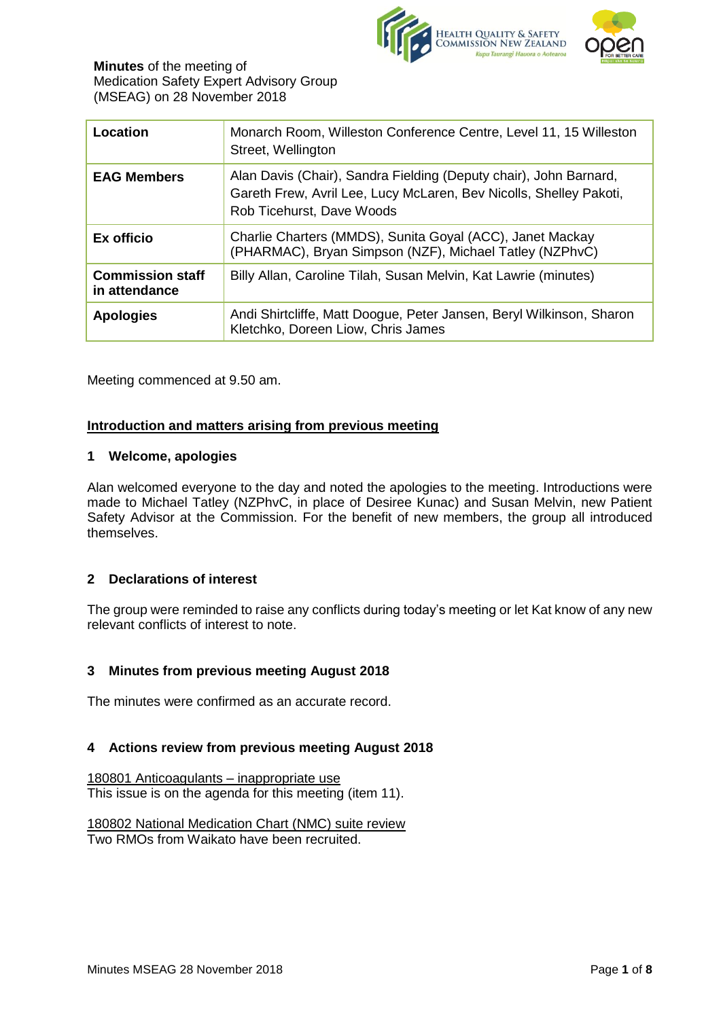

| Location                                 | Monarch Room, Willeston Conference Centre, Level 11, 15 Willeston<br>Street, Wellington                                                                              |
|------------------------------------------|----------------------------------------------------------------------------------------------------------------------------------------------------------------------|
| <b>EAG Members</b>                       | Alan Davis (Chair), Sandra Fielding (Deputy chair), John Barnard,<br>Gareth Frew, Avril Lee, Lucy McLaren, Bev Nicolls, Shelley Pakoti,<br>Rob Ticehurst, Dave Woods |
| Ex officio                               | Charlie Charters (MMDS), Sunita Goyal (ACC), Janet Mackay<br>(PHARMAC), Bryan Simpson (NZF), Michael Tatley (NZPhvC)                                                 |
| <b>Commission staff</b><br>in attendance | Billy Allan, Caroline Tilah, Susan Melvin, Kat Lawrie (minutes)                                                                                                      |
| <b>Apologies</b>                         | Andi Shirtcliffe, Matt Doogue, Peter Jansen, Beryl Wilkinson, Sharon<br>Kletchko, Doreen Liow, Chris James                                                           |

Meeting commenced at 9.50 am.

#### **Introduction and matters arising from previous meeting**

#### **1 Welcome, apologies**

Alan welcomed everyone to the day and noted the apologies to the meeting. Introductions were made to Michael Tatley (NZPhvC, in place of Desiree Kunac) and Susan Melvin, new Patient Safety Advisor at the Commission. For the benefit of new members, the group all introduced themselves.

## **2 Declarations of interest**

The group were reminded to raise any conflicts during today's meeting or let Kat know of any new relevant conflicts of interest to note.

## **3 Minutes from previous meeting August 2018**

The minutes were confirmed as an accurate record.

#### **4 Actions review from previous meeting August 2018**

180801 Anticoagulants – inappropriate use This issue is on the agenda for this meeting (item 11).

180802 National Medication Chart (NMC) suite review Two RMOs from Waikato have been recruited.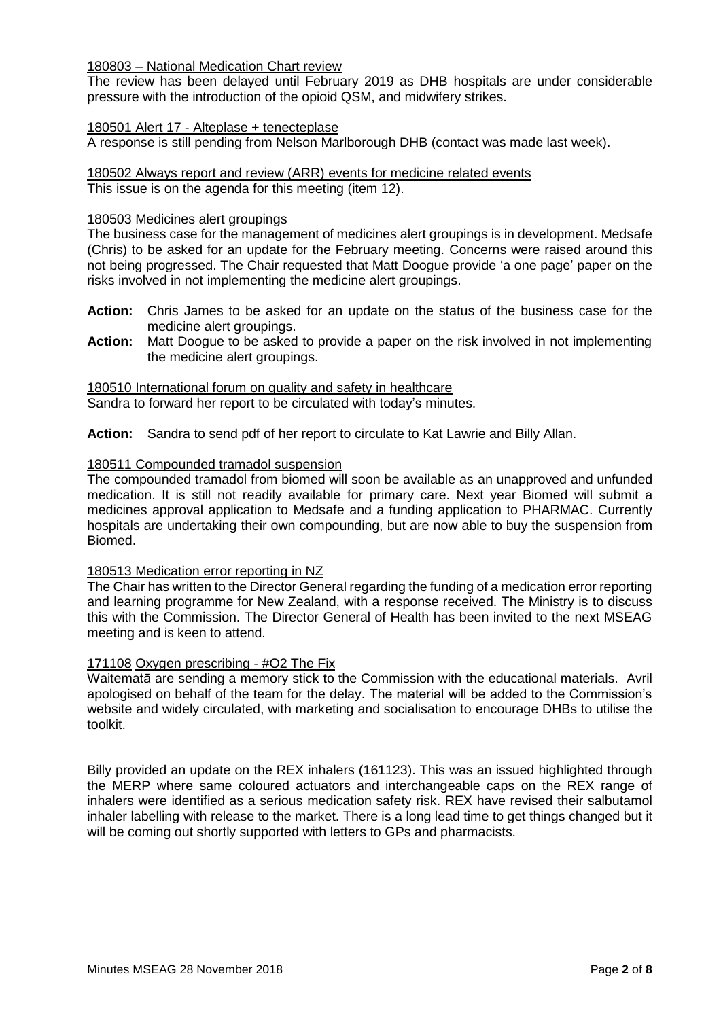180803 – National Medication Chart review

The review has been delayed until February 2019 as DHB hospitals are under considerable pressure with the introduction of the opioid QSM, and midwifery strikes.

#### 180501 Alert 17 - Alteplase + tenecteplase

A response is still pending from Nelson Marlborough DHB (contact was made last week).

180502 Always report and review (ARR) events for medicine related events This issue is on the agenda for this meeting (item 12).

#### 180503 Medicines alert groupings

The business case for the management of medicines alert groupings is in development. Medsafe (Chris) to be asked for an update for the February meeting. Concerns were raised around this not being progressed. The Chair requested that Matt Doogue provide 'a one page' paper on the risks involved in not implementing the medicine alert groupings.

- **Action:** Chris James to be asked for an update on the status of the business case for the medicine alert groupings.
- **Action:** Matt Doogue to be asked to provide a paper on the risk involved in not implementing the medicine alert groupings.

180510 International forum on quality and safety in healthcare Sandra to forward her report to be circulated with today's minutes.

**Action:** Sandra to send pdf of her report to circulate to Kat Lawrie and Billy Allan.

#### 180511 Compounded tramadol suspension

The compounded tramadol from biomed will soon be available as an unapproved and unfunded medication. It is still not readily available for primary care. Next year Biomed will submit a medicines approval application to Medsafe and a funding application to PHARMAC. Currently hospitals are undertaking their own compounding, but are now able to buy the suspension from Biomed.

#### 180513 Medication error reporting in NZ

The Chair has written to the Director General regarding the funding of a medication error reporting and learning programme for New Zealand, with a response received. The Ministry is to discuss this with the Commission. The Director General of Health has been invited to the next MSEAG meeting and is keen to attend.

#### 171108 Oxygen prescribing - #O2 The Fix

Waitematā are sending a memory stick to the Commission with the educational materials. Avril apologised on behalf of the team for the delay. The material will be added to the Commission's website and widely circulated, with marketing and socialisation to encourage DHBs to utilise the toolkit.

Billy provided an update on the REX inhalers (161123). This was an issued highlighted through the MERP where same coloured actuators and interchangeable caps on the REX range of inhalers were identified as a serious medication safety risk. REX have revised their salbutamol inhaler labelling with release to the market. There is a long lead time to get things changed but it will be coming out shortly supported with letters to GPs and pharmacists.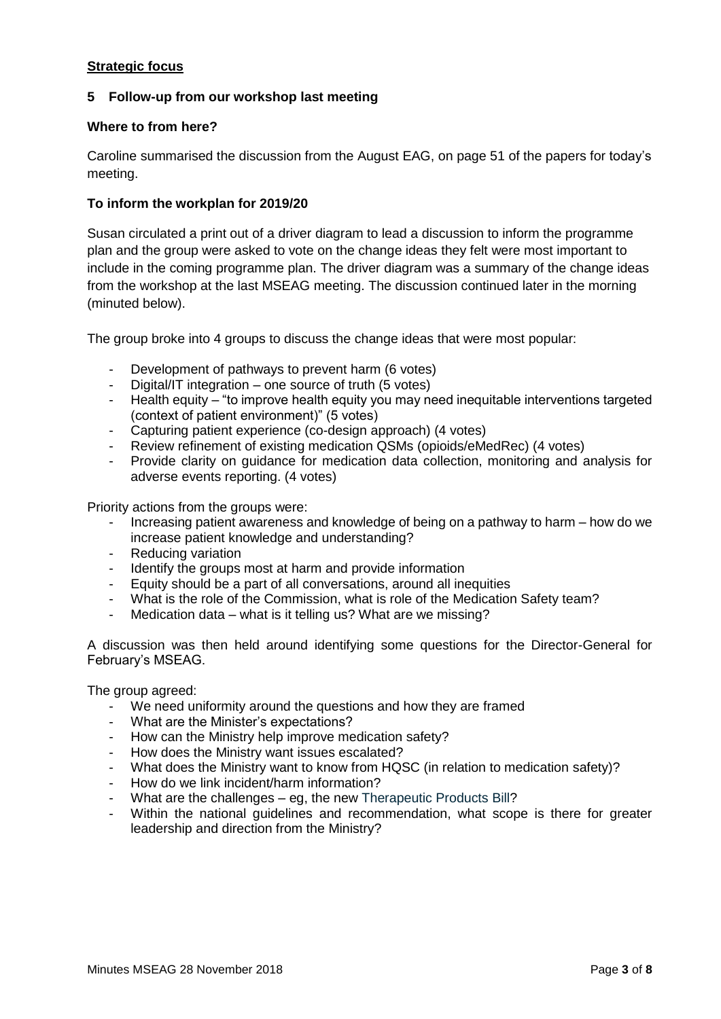# **Strategic focus**

# **5 Follow-up from our workshop last meeting**

## **Where to from here?**

Caroline summarised the discussion from the August EAG, on page 51 of the papers for today's meeting.

## **To inform the workplan for 2019/20**

Susan circulated a print out of a driver diagram to lead a discussion to inform the programme plan and the group were asked to vote on the change ideas they felt were most important to include in the coming programme plan. The driver diagram was a summary of the change ideas from the workshop at the last MSEAG meeting. The discussion continued later in the morning (minuted below).

The group broke into 4 groups to discuss the change ideas that were most popular:

- Development of pathways to prevent harm (6 votes)
- Digital/IT integration one source of truth (5 votes)
- Health equity "to improve health equity you may need inequitable interventions targeted (context of patient environment)" (5 votes)
- Capturing patient experience (co-design approach) (4 votes)
- Review refinement of existing medication QSMs (opioids/eMedRec) (4 votes)
- Provide clarity on guidance for medication data collection, monitoring and analysis for adverse events reporting. (4 votes)

Priority actions from the groups were:

- Increasing patient awareness and knowledge of being on a pathway to harm how do we increase patient knowledge and understanding?
- Reducing variation
- Identify the groups most at harm and provide information
- Equity should be a part of all conversations, around all inequities
- What is the role of the Commission, what is role of the Medication Safety team?
- Medication data what is it telling us? What are we missing?

A discussion was then held around identifying some questions for the Director-General for February's MSEAG.

The group agreed:

- We need uniformity around the questions and how they are framed
- What are the Minister's expectations?
- How can the Ministry help improve medication safety?
- How does the Ministry want issues escalated?
- What does the Ministry want to know from HQSC (in relation to medication safety)?
- How do we link incident/harm information?
- What are the challenges eg, the new Therapeutic Products Bill?
- Within the national guidelines and recommendation, what scope is there for greater leadership and direction from the Ministry?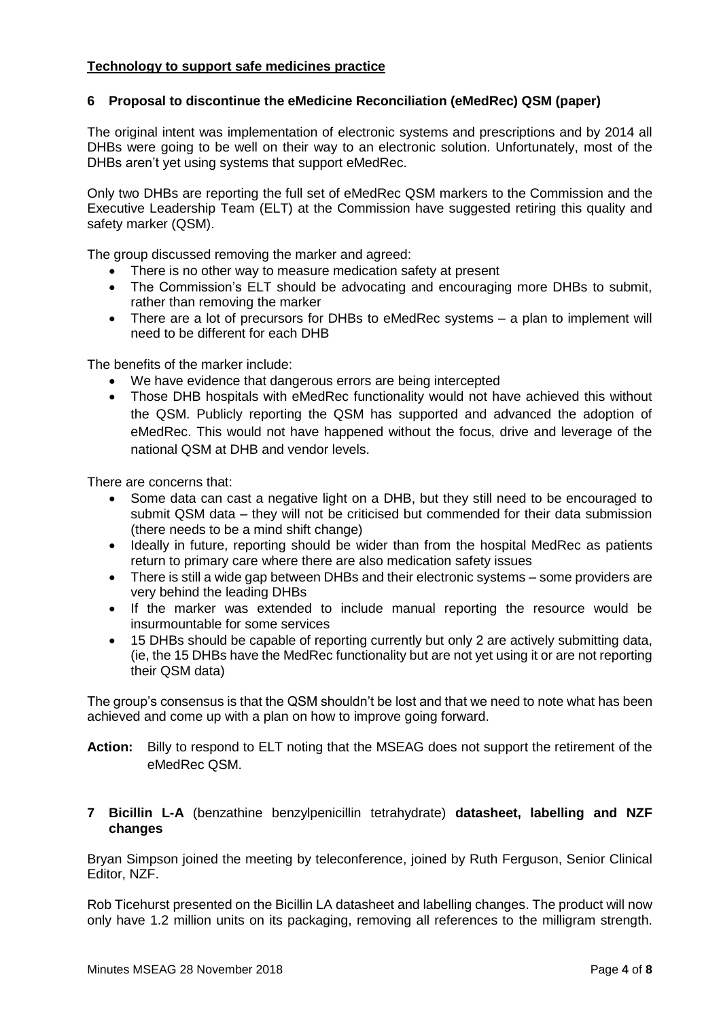# **Technology to support safe medicines practice**

# **6 Proposal to discontinue the eMedicine Reconciliation (eMedRec) QSM (paper)**

The original intent was implementation of electronic systems and prescriptions and by 2014 all DHBs were going to be well on their way to an electronic solution. Unfortunately, most of the DHBs aren't yet using systems that support eMedRec.

Only two DHBs are reporting the full set of eMedRec QSM markers to the Commission and the Executive Leadership Team (ELT) at the Commission have suggested retiring this quality and safety marker (QSM).

The group discussed removing the marker and agreed:

- There is no other way to measure medication safety at present
- The Commission's ELT should be advocating and encouraging more DHBs to submit, rather than removing the marker
- There are a lot of precursors for DHBs to eMedRec systems a plan to implement will need to be different for each DHB

The benefits of the marker include:

- We have evidence that dangerous errors are being intercepted
- Those DHB hospitals with eMedRec functionality would not have achieved this without the QSM. Publicly reporting the QSM has supported and advanced the adoption of eMedRec. This would not have happened without the focus, drive and leverage of the national QSM at DHB and vendor levels.

There are concerns that:

- Some data can cast a negative light on a DHB, but they still need to be encouraged to submit QSM data – they will not be criticised but commended for their data submission (there needs to be a mind shift change)
- Ideally in future, reporting should be wider than from the hospital MedRec as patients return to primary care where there are also medication safety issues
- There is still a wide gap between DHBs and their electronic systems some providers are very behind the leading DHBs
- If the marker was extended to include manual reporting the resource would be insurmountable for some services
- 15 DHBs should be capable of reporting currently but only 2 are actively submitting data, (ie, the 15 DHBs have the MedRec functionality but are not yet using it or are not reporting their QSM data)

The group's consensus is that the QSM shouldn't be lost and that we need to note what has been achieved and come up with a plan on how to improve going forward.

**Action:** Billy to respond to ELT noting that the MSEAG does not support the retirement of the eMedRec QSM.

## **7 Bicillin L-A** (benzathine benzylpenicillin tetrahydrate) **datasheet, labelling and NZF changes**

Bryan Simpson joined the meeting by teleconference, joined by Ruth Ferguson, Senior Clinical Editor, NZF.

Rob Ticehurst presented on the Bicillin LA datasheet and labelling changes. The product will now only have 1.2 million units on its packaging, removing all references to the milligram strength.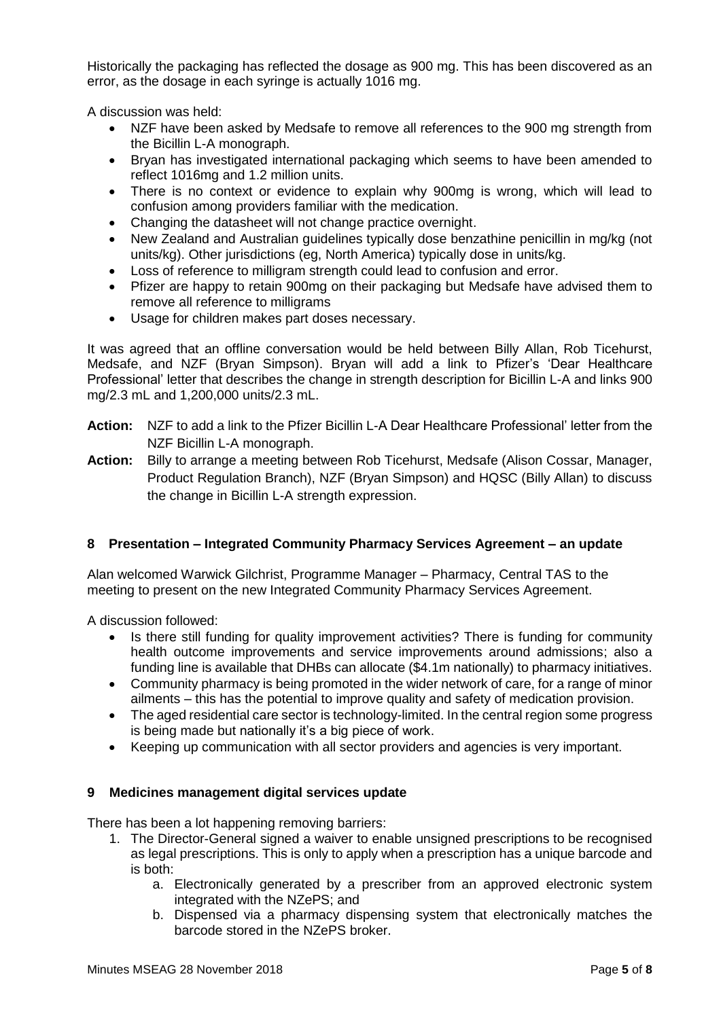Historically the packaging has reflected the dosage as 900 mg. This has been discovered as an error, as the dosage in each syringe is actually 1016 mg.

A discussion was held:

- NZF have been asked by Medsafe to remove all references to the 900 mg strength from the Bicillin L-A monograph.
- Bryan has investigated international packaging which seems to have been amended to reflect 1016mg and 1.2 million units.
- There is no context or evidence to explain why 900mg is wrong, which will lead to confusion among providers familiar with the medication.
- Changing the datasheet will not change practice overnight.
- New Zealand and Australian guidelines typically dose benzathine penicillin in mg/kg (not units/kg). Other jurisdictions (eg, North America) typically dose in units/kg.
- Loss of reference to milligram strength could lead to confusion and error.
- Pfizer are happy to retain 900mg on their packaging but Medsafe have advised them to remove all reference to milligrams
- Usage for children makes part doses necessary.

It was agreed that an offline conversation would be held between Billy Allan, Rob Ticehurst, Medsafe, and NZF (Bryan Simpson). Bryan will add a link to Pfizer's 'Dear Healthcare Professional' letter that describes the change in strength description for Bicillin L-A and links 900 mg/2.3 mL and 1,200,000 units/2.3 mL.

- **Action:** NZF to add a link to the Pfizer Bicillin L-A Dear Healthcare Professional' letter from the NZF Bicillin L-A monograph.
- **Action:** Billy to arrange a meeting between Rob Ticehurst, Medsafe (Alison Cossar, Manager, Product Regulation Branch), NZF (Bryan Simpson) and HQSC (Billy Allan) to discuss the change in Bicillin L-A strength expression.

## **8 Presentation – Integrated Community Pharmacy Services Agreement – an update**

Alan welcomed Warwick Gilchrist, Programme Manager – Pharmacy, Central TAS to the meeting to present on the new Integrated Community Pharmacy Services Agreement.

A discussion followed:

- Is there still funding for quality improvement activities? There is funding for community health outcome improvements and service improvements around admissions; also a funding line is available that DHBs can allocate (\$4.1m nationally) to pharmacy initiatives.
- Community pharmacy is being promoted in the wider network of care, for a range of minor ailments – this has the potential to improve quality and safety of medication provision.
- The aged residential care sector is technology-limited. In the central region some progress is being made but nationally it's a big piece of work.
- Keeping up communication with all sector providers and agencies is very important.

#### **9 Medicines management digital services update**

There has been a lot happening removing barriers:

- 1. The Director-General signed a waiver to enable unsigned prescriptions to be recognised as legal prescriptions. This is only to apply when a prescription has a unique barcode and is both:
	- a. Electronically generated by a prescriber from an approved electronic system integrated with the NZePS; and
	- b. Dispensed via a pharmacy dispensing system that electronically matches the barcode stored in the NZePS broker.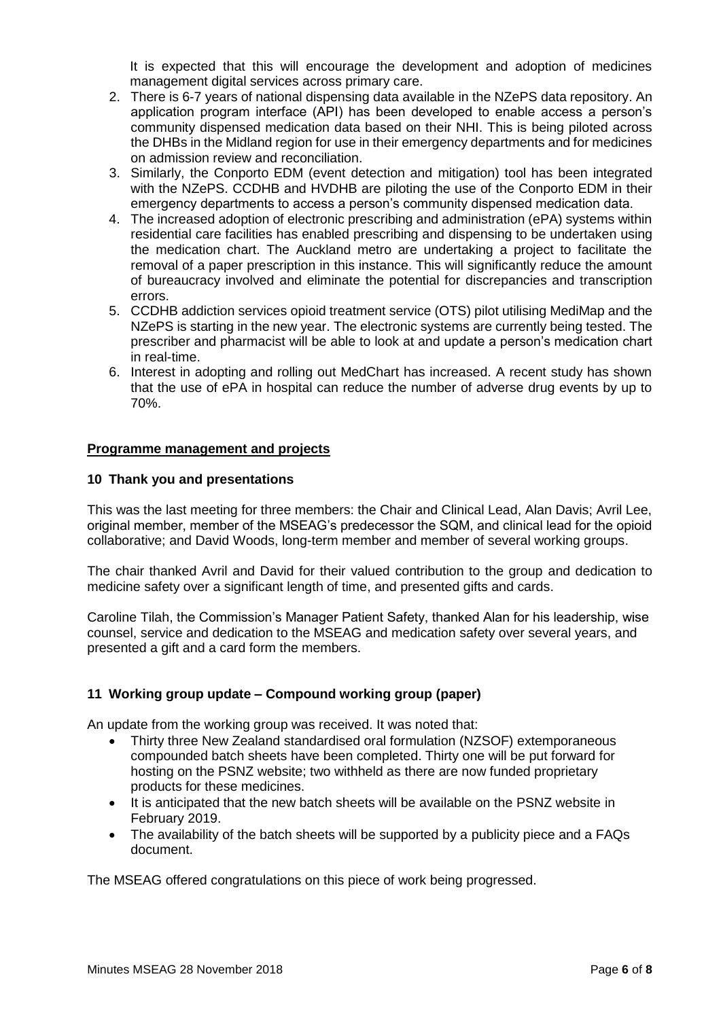It is expected that this will encourage the development and adoption of medicines management digital services across primary care.

- 2. There is 6-7 years of national dispensing data available in the NZePS data repository. An application program interface (API) has been developed to enable access a person's community dispensed medication data based on their NHI. This is being piloted across the DHBs in the Midland region for use in their emergency departments and for medicines on admission review and reconciliation.
- 3. Similarly, the Conporto EDM (event detection and mitigation) tool has been integrated with the NZePS. CCDHB and HVDHB are piloting the use of the Conporto EDM in their emergency departments to access a person's community dispensed medication data.
- 4. The increased adoption of electronic prescribing and administration (ePA) systems within residential care facilities has enabled prescribing and dispensing to be undertaken using the medication chart. The Auckland metro are undertaking a project to facilitate the removal of a paper prescription in this instance. This will significantly reduce the amount of bureaucracy involved and eliminate the potential for discrepancies and transcription errors.
- 5. CCDHB addiction services opioid treatment service (OTS) pilot utilising MediMap and the NZePS is starting in the new year. The electronic systems are currently being tested. The prescriber and pharmacist will be able to look at and update a person's medication chart in real-time.
- 6. Interest in adopting and rolling out MedChart has increased. A recent study has shown that the use of ePA in hospital can reduce the number of adverse drug events by up to 70%.

## **Programme management and projects**

#### **10 Thank you and presentations**

This was the last meeting for three members: the Chair and Clinical Lead, Alan Davis; Avril Lee, original member, member of the MSEAG's predecessor the SQM, and clinical lead for the opioid collaborative; and David Woods, long-term member and member of several working groups.

The chair thanked Avril and David for their valued contribution to the group and dedication to medicine safety over a significant length of time, and presented gifts and cards.

Caroline Tilah, the Commission's Manager Patient Safety, thanked Alan for his leadership, wise counsel, service and dedication to the MSEAG and medication safety over several years, and presented a gift and a card form the members.

## **11 Working group update – Compound working group (paper)**

An update from the working group was received. It was noted that:

- Thirty three New Zealand standardised oral formulation (NZSOF) extemporaneous compounded batch sheets have been completed. Thirty one will be put forward for hosting on the PSNZ website; two withheld as there are now funded proprietary products for these medicines.
- It is anticipated that the new batch sheets will be available on the PSNZ website in February 2019.
- The availability of the batch sheets will be supported by a publicity piece and a FAQs document.

The MSEAG offered congratulations on this piece of work being progressed.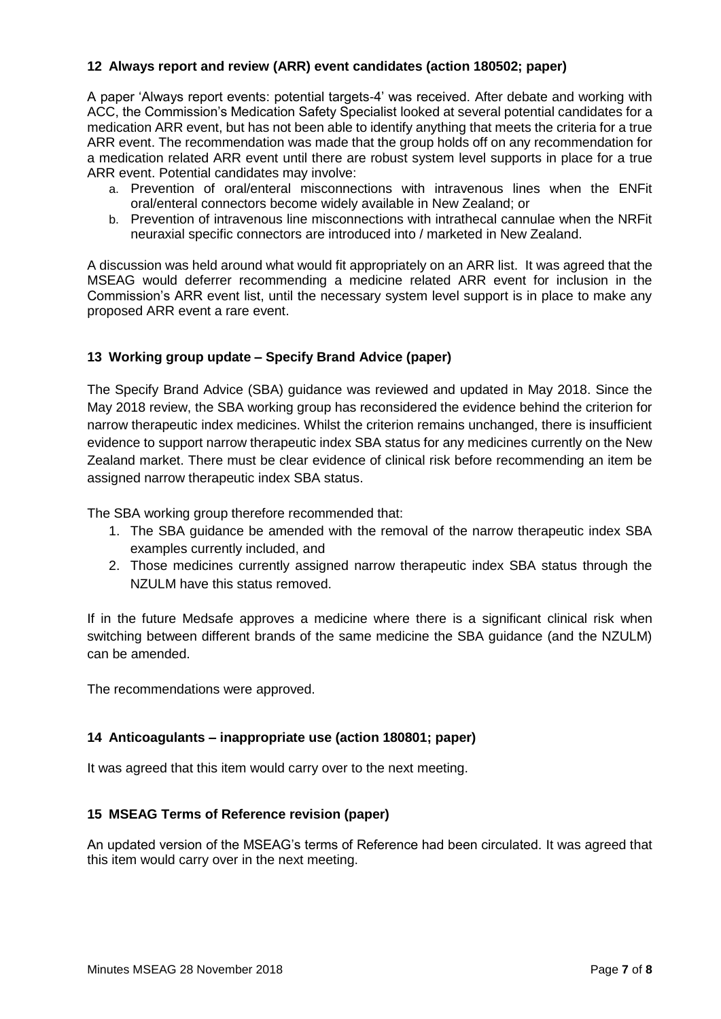# **12 Always report and review (ARR) event candidates (action 180502; paper)**

A paper 'Always report events: potential targets-4' was received. After debate and working with ACC, the Commission's Medication Safety Specialist looked at several potential candidates for a medication ARR event, but has not been able to identify anything that meets the criteria for a true ARR event. The recommendation was made that the group holds off on any recommendation for a medication related ARR event until there are robust system level supports in place for a true ARR event. Potential candidates may involve:

- a. Prevention of oral/enteral misconnections with intravenous lines when the ENFit oral/enteral connectors become widely available in New Zealand; or
- b. Prevention of intravenous line misconnections with intrathecal cannulae when the NRFit neuraxial specific connectors are introduced into / marketed in New Zealand.

A discussion was held around what would fit appropriately on an ARR list. It was agreed that the MSEAG would deferrer recommending a medicine related ARR event for inclusion in the Commission's ARR event list, until the necessary system level support is in place to make any proposed ARR event a rare event.

## **13 Working group update – Specify Brand Advice (paper)**

The Specify Brand Advice (SBA) guidance was reviewed and updated in May 2018. Since the May 2018 review, the SBA working group has reconsidered the evidence behind the criterion for narrow therapeutic index medicines. Whilst the criterion remains unchanged, there is insufficient evidence to support narrow therapeutic index SBA status for any medicines currently on the New Zealand market. There must be clear evidence of clinical risk before recommending an item be assigned narrow therapeutic index SBA status.

The SBA working group therefore recommended that:

- 1. The SBA guidance be amended with the removal of the narrow therapeutic index SBA examples currently included, and
- 2. Those medicines currently assigned narrow therapeutic index SBA status through the NZULM have this status removed.

If in the future Medsafe approves a medicine where there is a significant clinical risk when switching between different brands of the same medicine the SBA guidance (and the NZULM) can be amended.

The recommendations were approved.

## **14 Anticoagulants – inappropriate use (action 180801; paper)**

It was agreed that this item would carry over to the next meeting.

## **15 MSEAG Terms of Reference revision (paper)**

An updated version of the MSEAG's terms of Reference had been circulated. It was agreed that this item would carry over in the next meeting.